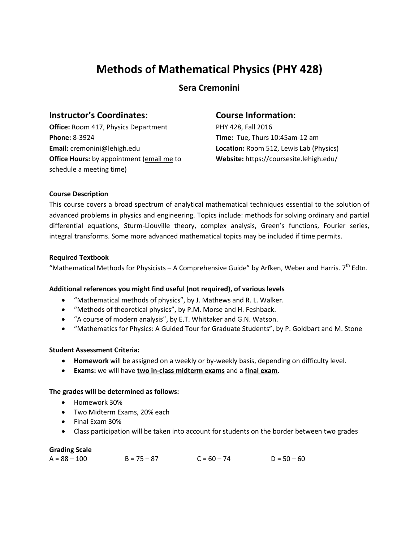# **Methods of Mathematical Physics (PHY 428)**

# **Sera Cremonini**

## **Instructor's Coordinates:**

**Office:** Room 417, Physics Department **Phone:** 8-3924 **Email:** cremonini@lehigh.edu **Office Hours:** by appointment (email me to schedule a meeting time)

## **Course Information:**

PHY 428, Fall 2016 **Time:** Tue, Thurs 10:45am-12 am **Location:** Room 512, Lewis Lab (Physics) **Website:** https://coursesite.lehigh.edu/

#### **Course Description**

This course covers a broad spectrum of analytical mathematical techniques essential to the solution of advanced problems in physics and engineering. Topics include: methods for solving ordinary and partial differential equations, Sturm-Liouville theory, complex analysis, Green's functions, Fourier series, integral transforms. Some more advanced mathematical topics may be included if time permits.

#### **Required Textbook**

"Mathematical Methods for Physicists – A Comprehensive Guide" by Arfken, Weber and Harris.  $7<sup>th</sup>$  Edtn.

## **Additional references you might find useful (not required), of various levels**

- "Mathematical methods of physics", by J. Mathews and R. L. Walker.
- "Methods of theoretical physics", by P.M. Morse and H. Feshback.
- "A course of modern analysis", by E.T. Whittaker and G.N. Watson.
- "Mathematics for Physics: A Guided Tour for Graduate Students", by P. Goldbart and M. Stone

#### **Student Assessment Criteria:**

- **Homework** will be assigned on a weekly or by-weekly basis, depending on difficulty level.
- **Exams:** we will have **two in-class midterm exams** and a **final exam**.

#### **The grades will be determined as follows:**

- Homework 30%
- Two Midterm Exams, 20% each
- Final Exam 30%
- Class participation will be taken into account for students on the border between two grades

#### **Grading Scale**

 $A = 88 - 100$   $B = 75 - 87$   $C = 60 - 74$   $D = 50 - 60$